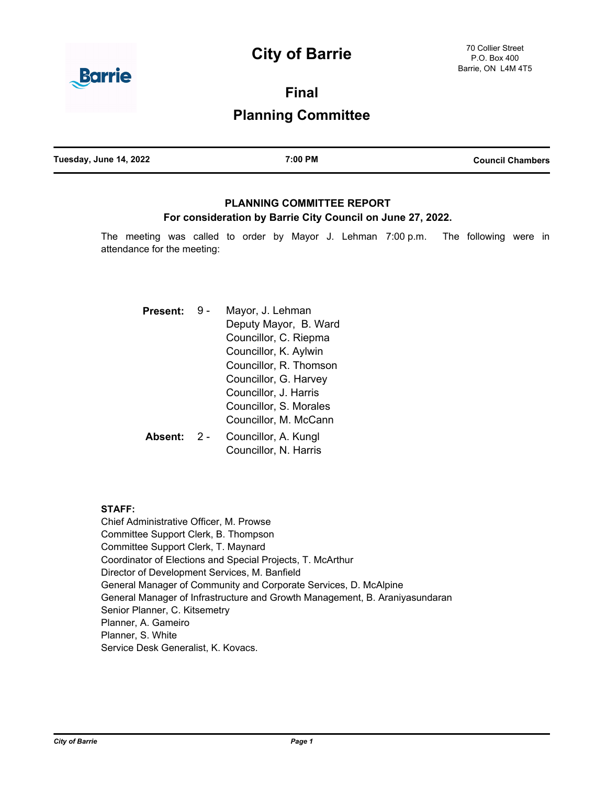# **City of Barrie**



**Final**

## **Planning Committee**

| Tuesday, June 14, 2022 | 7:00 PM | <b>Council Chambers</b> |
|------------------------|---------|-------------------------|
|                        |         |                         |

## **PLANNING COMMITTEE REPORT For consideration by Barrie City Council on June 27, 2022.**

The meeting was called to order by Mayor J. Lehman 7:00 p.m. The following were in attendance for the meeting:

| Present: |     | Mayor, J. Lehman                               |  |
|----------|-----|------------------------------------------------|--|
|          |     | Deputy Mayor, B. Ward<br>Councillor, C. Riepma |  |
|          |     |                                                |  |
|          |     | Councillor, K. Aylwin                          |  |
|          |     | Councillor, R. Thomson                         |  |
|          |     | Councillor, G. Harvey                          |  |
|          |     | Councillor, J. Harris                          |  |
|          |     | Councillor, S. Morales                         |  |
|          |     | Councillor, M. McCann                          |  |
| Absent:  | 2 - | Councillor, A. Kungl<br>Councillor, N. Harris  |  |

## **STAFF:**

Chief Administrative Officer, M. Prowse Committee Support Clerk, B. Thompson Committee Support Clerk, T. Maynard Coordinator of Elections and Special Projects, T. McArthur Director of Development Services, M. Banfield General Manager of Community and Corporate Services, D. McAlpine General Manager of Infrastructure and Growth Management, B. Araniyasundaran Senior Planner, C. Kitsemetry Planner, A. Gameiro Planner, S. White Service Desk Generalist, K. Kovacs.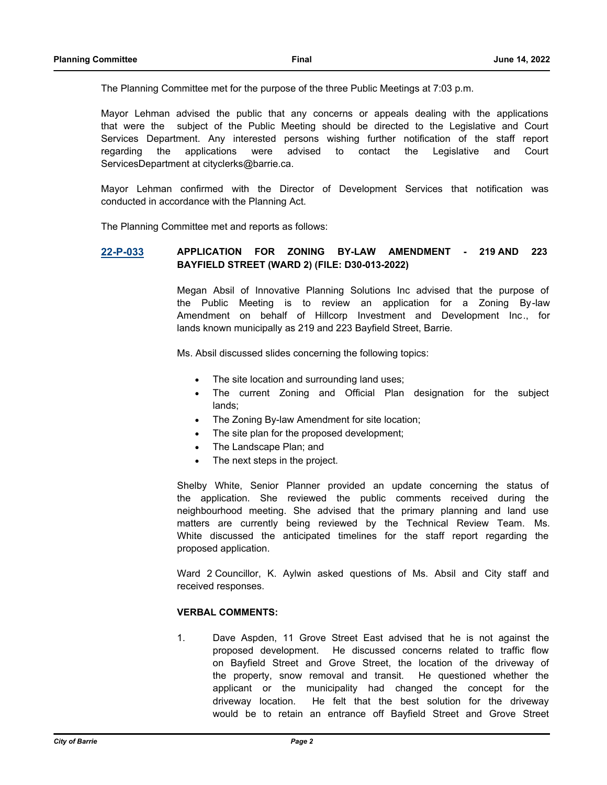The Planning Committee met for the purpose of the three Public Meetings at 7:03 p.m.

Mayor Lehman advised the public that any concerns or appeals dealing with the applications that were the subject of the Public Meeting should be directed to the Legislative and Court Services Department. Any interested persons wishing further notification of the staff report regarding the applications were advised to contact the Legislative and Court ServicesDepartment at cityclerks@barrie.ca.

Mayor Lehman confirmed with the Director of Development Services that notification was conducted in accordance with the Planning Act.

The Planning Committee met and reports as follows:

#### **[22-P-033](http://barrie.ca.legistar.com/gateway.aspx?m=l&id=/matter.aspx?key=50714) APPLICATION FOR ZONING BY-LAW AMENDMENT - 219 AND 223 BAYFIELD STREET (WARD 2) (FILE: D30-013-2022)**

Megan Absil of Innovative Planning Solutions Inc advised that the purpose of the Public Meeting is to review an application for a Zoning By-law Amendment on behalf of Hillcorp Investment and Development Inc., for lands known municipally as 219 and 223 Bayfield Street, Barrie.

Ms. Absil discussed slides concerning the following topics:

- The site location and surrounding land uses;
- · The current Zoning and Official Plan designation for the subject lands;
- The Zoning By-law Amendment for site location;
- The site plan for the proposed development;
- The Landscape Plan; and
- The next steps in the project.

Shelby White, Senior Planner provided an update concerning the status of the application. She reviewed the public comments received during the neighbourhood meeting. She advised that the primary planning and land use matters are currently being reviewed by the Technical Review Team. Ms. White discussed the anticipated timelines for the staff report regarding the proposed application.

Ward 2 Councillor, K. Aylwin asked questions of Ms. Absil and City staff and received responses.

#### **VERBAL COMMENTS:**

1. Dave Aspden, 11 Grove Street East advised that he is not against the proposed development. He discussed concerns related to traffic flow on Bayfield Street and Grove Street, the location of the driveway of the property, snow removal and transit. He questioned whether the applicant or the municipality had changed the concept for the driveway location. He felt that the best solution for the driveway would be to retain an entrance off Bayfield Street and Grove Street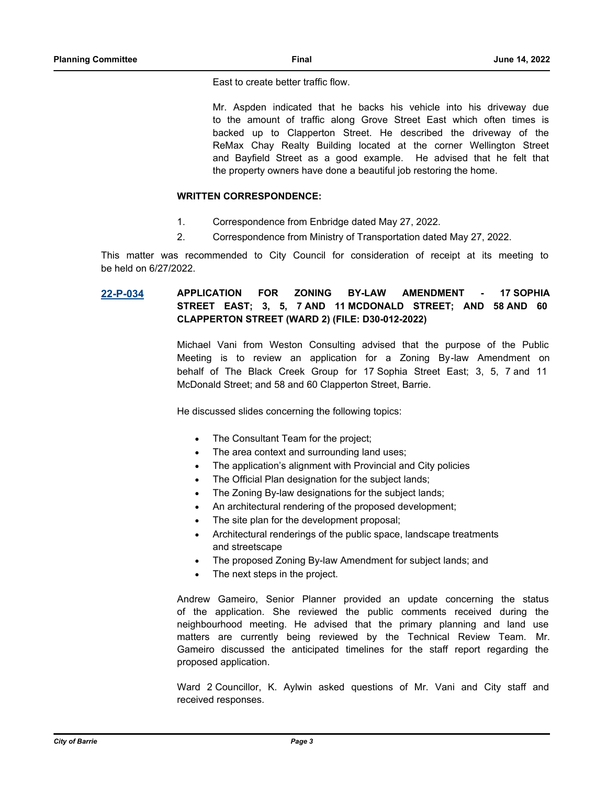East to create better traffic flow.

Mr. Aspden indicated that he backs his vehicle into his driveway due to the amount of traffic along Grove Street East which often times is backed up to Clapperton Street. He described the driveway of the ReMax Chay Realty Building located at the corner Wellington Street and Bayfield Street as a good example. He advised that he felt that the property owners have done a beautiful job restoring the home.

#### **WRITTEN CORRESPONDENCE:**

- 1. Correspondence from Enbridge dated May 27, 2022.
- 2. Correspondence from Ministry of Transportation dated May 27, 2022.

This matter was recommended to City Council for consideration of receipt at its meeting to be held on 6/27/2022.

## **[22-P-034](http://barrie.ca.legistar.com/gateway.aspx?m=l&id=/matter.aspx?key=50715) APPLICATION FOR ZONING BY-LAW AMENDMENT - 17 SOPHIA STREET EAST; 3, 5, 7 AND 11 MCDONALD STREET; AND 58 AND 60 CLAPPERTON STREET (WARD 2) (FILE: D30-012-2022)**

Michael Vani from Weston Consulting advised that the purpose of the Public Meeting is to review an application for a Zoning By-law Amendment on behalf of The Black Creek Group for 17 Sophia Street East; 3, 5, 7 and 11 McDonald Street; and 58 and 60 Clapperton Street, Barrie.

He discussed slides concerning the following topics:

- The Consultant Team for the project;
- The area context and surrounding land uses;
- The application's alignment with Provincial and City policies
- The Official Plan designation for the subject lands;
- The Zoning By-law designations for the subject lands;
- An architectural rendering of the proposed development;
- The site plan for the development proposal;
- Architectural renderings of the public space, landscape treatments and streetscape
- The proposed Zoning By-law Amendment for subject lands; and
- The next steps in the project.

Andrew Gameiro, Senior Planner provided an update concerning the status of the application. She reviewed the public comments received during the neighbourhood meeting. He advised that the primary planning and land use matters are currently being reviewed by the Technical Review Team. Mr. Gameiro discussed the anticipated timelines for the staff report regarding the proposed application.

Ward 2 Councillor, K. Aylwin asked questions of Mr. Vani and City staff and received responses.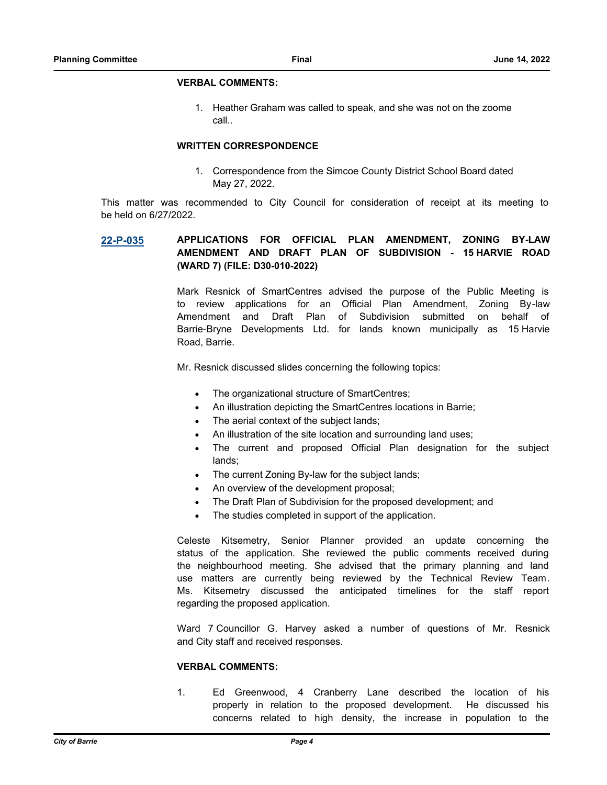#### **VERBAL COMMENTS:**

1. Heather Graham was called to speak, and she was not on the zoome call..

#### **WRITTEN CORRESPONDENCE**

1. Correspondence from the Simcoe County District School Board dated May 27, 2022.

This matter was recommended to City Council for consideration of receipt at its meeting to be held on 6/27/2022.

## **[22-P-035](http://barrie.ca.legistar.com/gateway.aspx?m=l&id=/matter.aspx?key=50732) APPLICATIONS FOR OFFICIAL PLAN AMENDMENT, ZONING BY-LAW AMENDMENT AND DRAFT PLAN OF SUBDIVISION - 15 HARVIE ROAD (WARD 7) (FILE: D30-010-2022)**

Mark Resnick of SmartCentres advised the purpose of the Public Meeting is to review applications for an Official Plan Amendment, Zoning By-law Amendment and Draft Plan of Subdivision submitted on behalf of Barrie-Bryne Developments Ltd. for lands known municipally as 15 Harvie Road, Barrie.

Mr. Resnick discussed slides concerning the following topics:

- The organizational structure of SmartCentres;
- An illustration depicting the SmartCentres locations in Barrie;
- The aerial context of the subject lands;
- An illustration of the site location and surrounding land uses;
- The current and proposed Official Plan designation for the subject lands;
- The current Zoning By-law for the subject lands;
- An overview of the development proposal;
- The Draft Plan of Subdivision for the proposed development; and
- The studies completed in support of the application.

Celeste Kitsemetry, Senior Planner provided an update concerning the status of the application. She reviewed the public comments received during the neighbourhood meeting. She advised that the primary planning and land use matters are currently being reviewed by the Technical Review Team. Ms. Kitsemetry discussed the anticipated timelines for the staff report regarding the proposed application.

Ward 7 Councillor G. Harvey asked a number of questions of Mr. Resnick and City staff and received responses.

#### **VERBAL COMMENTS:**

1. Ed Greenwood, 4 Cranberry Lane described the location of his property in relation to the proposed development. He discussed his concerns related to high density, the increase in population to the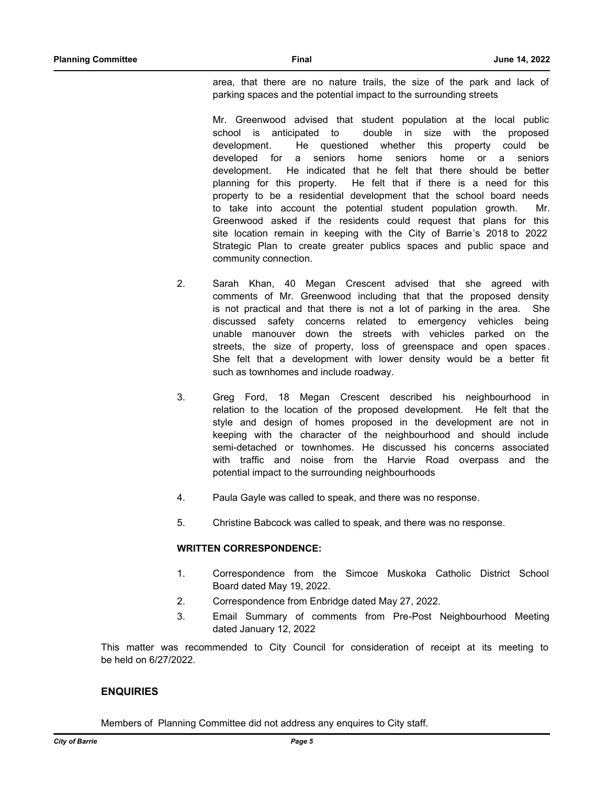area, that there are no nature trails, the size of the park and lack of parking spaces and the potential impact to the surrounding streets

Mr. Greenwood advised that student population at the local public school is anticipated to double in size with the proposed development. He questioned whether this property could be developed for a seniors home seniors home or a seniors development. He indicated that he felt that there should be better planning for this property. He felt that if there is a need for this property to be a residential development that the school board needs to take into account the potential student population growth. Mr. Greenwood asked if the residents could request that plans for this site location remain in keeping with the City of Barrie's 2018 to 2022 Strategic Plan to create greater publics spaces and public space and community connection.

- 2. Sarah Khan, 40 Megan Crescent advised that she agreed with comments of Mr. Greenwood including that that the proposed density is not practical and that there is not a lot of parking in the area. She discussed safety concerns related to emergency vehicles being unable manouver down the streets with vehicles parked on the streets, the size of property, loss of greenspace and open spaces . She felt that a development with lower density would be a better fit such as townhomes and include roadway.
- 3. Greg Ford, 18 Megan Crescent described his neighbourhood in relation to the location of the proposed development. He felt that the style and design of homes proposed in the development are not in keeping with the character of the neighbourhood and should include semi-detached or townhomes. He discussed his concerns associated with traffic and noise from the Harvie Road overpass and the potential impact to the surrounding neighbourhoods
- 4. Paula Gayle was called to speak, and there was no response.
- 5. Christine Babcock was called to speak, and there was no response.

#### **WRITTEN CORRESPONDENCE:**

- 1. Correspondence from the Simcoe Muskoka Catholic District School Board dated May 19, 2022.
- 2. Correspondence from Enbridge dated May 27, 2022.
- 3. Email Summary of comments from Pre-Post Neighbourhood Meeting dated January 12, 2022

This matter was recommended to City Council for consideration of receipt at its meeting to be held on 6/27/2022.

## **ENQUIRIES**

Members of Planning Committee did not address any enquires to City staff.